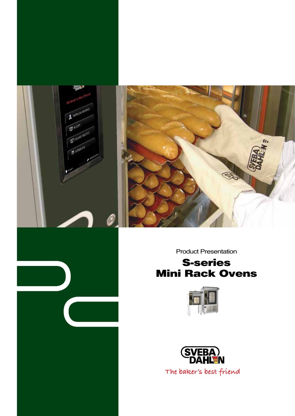

Product Presentation

## S-series Mini Rack Ovens



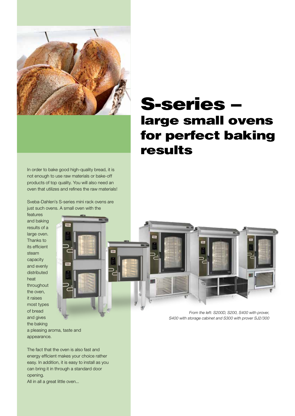

In order to bake good high-quality bread, it is not enough to use raw materials or bake-off products of top quality. You will also need an oven that utilizes and refines the raw materials!

Sveba-Dahlen's S-series mini rack ovens are just such ovens. A small oven with the

features and baking results of a large oven. Thanks to its efficient steam capacity and evenly distributed heat throughout the oven, it raises most types of bread and gives the baking



a pleasing aroma, taste and appearance.

The fact that the oven is also fast and energy efficient makes your choice rather easy. In addition, it is easy to install as you can bring it in through a standard door opening.

All in all a great little oven...

# S-series – large small ovens for perfect baking results



From the left: S200D, S200, S400 with prover, S400 with storage cabinet and S300 with prover SJ2/300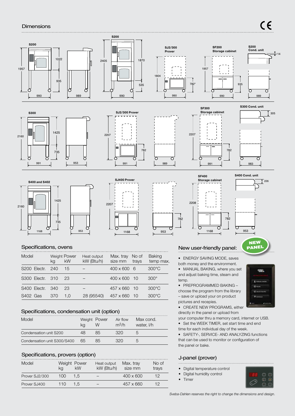### **Dimensions**



## Specifications, ovens

| Model                    | ka  | <b>Weight Power</b><br><b>kW</b> | Heat output<br>kW (Btu/h) | Max. tray<br>size mm | No of<br>trays | <b>Baking</b><br>temp max. |
|--------------------------|-----|----------------------------------|---------------------------|----------------------|----------------|----------------------------|
| S <sub>200</sub> Electr. | 240 | 15                               |                           | $400 \times 600$ 6   |                | $300^{\circ}$ C            |
| S <sub>300</sub> Electr. | 310 | 23                               |                           | $400 \times 600$     | 10             | $300^\circ$                |
| S400 Electr.             | 340 | 23                               |                           | $457 \times 660$     | 10             | $300^{\circ}$ C            |
| S402 Gas                 | 370 | 1.0                              | 28 (95540)                | 457 x 660            | 10             | $300^{\circ}$ C            |

 $\overline{1}$ 

## Specifications, condensation unit (option)

| Model                       |    | Weight Power | Air flow<br>$m^3/h$ | Max cond.<br>water, I/h |
|-----------------------------|----|--------------|---------------------|-------------------------|
| Condensation unit S200      |    | Xh           |                     |                         |
| Condensation unit S300/S400 | 65 | Xh           |                     |                         |

## Specifications, provers (option)

| Model          | Weight Power<br>ka | kW  | Heat output<br>kW (Btu/h) | Max. tray<br>size mm | No of<br>trays |
|----------------|--------------------|-----|---------------------------|----------------------|----------------|
| Prover SJ2/300 | 100                | 1.5 |                           | $400 \times 600$     | 1ク             |
| Prover SJ400   | 11()               | 1.5 |                           | $457 \times 660$     | 1ク             |

## New user-friendly panel:

 $\overline{1}$ 

• ENERGY SAVING MODE, saves both money and the environment.

• MANUAL BAKING, where you set and adjust baking time, steam and temp.

• PREPROGRAMMED BAKING choose the program from the library – save or upload your on product pictures and recepies.

• CREATE NEW PROGRAMS, either directly in the panel or upload from

your computer thru a memory card, internet or USB. • Set the WEEK TIMER, set start time and end

time for each individual day of the week.

• SAFETY-, SERVICE- AND ANALYZING functions that can be used to monitor or configuration of the panel or bake.

### J-panel (prover)

- Digital temperature control
- Digital humidity control • Timer
- 

Sveba-Dahlen reserves the right to change the dimensions and design.



 $\overline{\phantom{0}}$ 

**NEW**<br>PANEL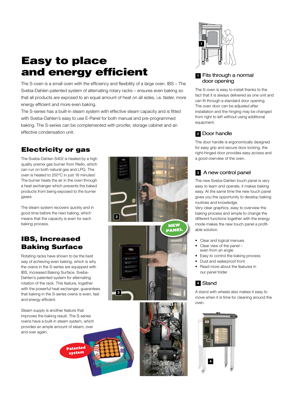## Easy to place and energy efficient

The S-oven is a small oven with the efficiency and flexibility of a large oven. IBS – The Sveba-Dahlen patented system of alternating rotary racks – ensures even baking so that all products are exposed to an equal amount of heat on all sides, i.e. faster, more energy efficient and more even baking.

The S-series has a built-in steam system with effective steam capacity and is fitted with Sveba-Dahlen's easy to use E-Panel for both manual and pre-programmed baking. The S-series can be complemented with proofer, storage cabinet and an effective condensation unit.

**2**

## Electricity or gas

The Sveba-Dahlen S402 is heated by a high quality premix gas burner from Riello, which can run on both natural gas and LPG. The oven is heated to 250°C in just 16 minutes! The burner heats the air in the oven through a heat exchanger which prevents the baked products from being exposed to the burner gases.

The steam system recovers quickly and in good time before the next baking, which means that the capacity is even for each baking process.

## IBS, Increased Baking Surface

Rotating racks have shown to be the best way of achieving even baking, which is why the ovens in the S-series are equipped with IBS, Increased Baking Surface, Sveba-Dahlen's patented system for alternating rotation of the rack. This feature, together with the powerful heat exchanger, guarantees that baking in the S-series ovens is even, fast and energy efficient.

Steam supply is another feature that improves the baking result. The S-series ovens have a built-in steam system, which provides an ample amount of steam, over and over again.

> **Patented** system









## **1** Fits through a normal door opening

The S-oven is easy to install thanks to the fact that it is always delivered as one unit and can fit through a standard door opening. The oven door can be adjusted after installation and the hinging may be changed from right to left without using additional equipment.

## Door handle **2**

The door handle is ergonomically designed for easy grip and secure door locking, the right-hinged door provides easy access and a good overview of the oven.

## A new control panel **3**

The new Sveba-Dahlen touch panel is very easy to learn and operate, it makes baking easy. At the same time the new touch panel gives you the opportunity to develop baking routines and knowledge.

Very clear graphics, easy to overview the baking process and simple to change the different functions together with the energy mode makes the new touch panel a profitable solution.

- Clear and logical menues
- Clear view of the panel even from an angle
- Easy to control the baking process
- Dust and waterproof front
- Read more about the features in our panel folder

## Stand **4**

A stand with wheels also makes it easy to move when it is time for cleaning around the oven.

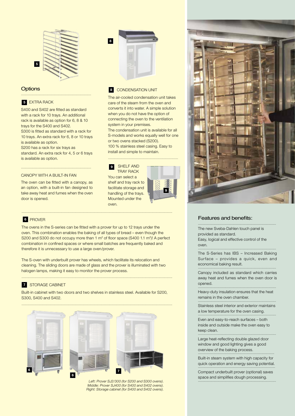

## **Options**

#### **5** EXTRA RACK

S400 and S402 are fitted as standard with a rack for 10 trays. An additional rack is available as option for 6, 8 & 10 trays for the S400 and S402. S300 is fitted as standard with a rack for 10 trays. An extra rack for 6, 8 or 10 trays is available as option.

...............................................................................

S200 has a rack for six trays as standard. An extra rack for 4, 5 or 6 trays is available as option.

...............................................................................

#### canopy with a built-in fan

The oven can be fitted with a canopy, as an option, with a built-in fan designed to take away heat and fumes when the oven door is opened.



#### **8 CONDENSATION UNIT**

The air-cooled condensation unit takes care of the steam from the oven and converts it into water. A simple solution when you do not have the option of connecting the oven to the ventilation system in your premises. The condensation unit is available for all S-models and works equally well for one

or two ovens stacked (S200). 100 % stainless steel casing. Easy to install and simple to maintain.

...............................................................................

 SHELF AND TRAY RACK You can select a shelf and tray rack to facilitate storage and handling of the trays. **9**

Mounted under the

oven.



#### Prover **6**

The ovens in the S-series can be fitted with a prover for up to 12 trays under the oven. This combination enables the baking of all types of bread – even though the S200 and S300 do not occupy more than  $1 \text{ m}^2$  of floor space (S400 1.1  $\text{m}^2$ )! A perfect combination in confined spaces or where small batches are frequently baked and therefore it is unnecessary to use a large oven/prover.

..........................................................................................................................................................................

The S-oven with underbuilt prover has wheels, which facilitate its relocation and cleaning. The sliding doors are made of glass and the prover is illuminated with two halogen lamps, making it easy to monitor the prover process.

..........................................................................................................................................................................

#### STORAGE CABINET **7**

Built-in cabinet with two doors and two shelves in stainless steel. Available for S200, S300, S400 and S402.



Left: Prover SJ2/300 (for S200 and S300 ovens). Middle: Prover SJ400 (for S400 and S402 ovens). Right: Storage cabinet (for S400 and S402 ovens).



#### Features and benefits:

The new Sveba-Dahlen touch panel is provided as standard.

Easy, logical and effective control of the oven. ........................................................................................

........................................................................................

The S-Series has IBS – Increased Baking Surface – provides a quick, even and economical baking result. ........................................................................................

Canopy included as standard which carries away heat and fumes when the oven door is opened. ........................................................................................

Heavy-duty insulation ensures that the heat remains in the oven chamber. ........................................................................................

Stainless steel interior and exterior maintains a low temperature for the oven casing. ........................................................................................

Even and easy-to-reach surfaces – both inside and outside make the oven easy to keep clean. ........................................................................................

Large heat-reflecting double glazed door window and good lighting gives a good overview of the baking process. ......................................................................................

Built-in steam system with high capacity for quick operation and energy saving potential.

Compact underbuilt prover (optional) saves space and simplifies dough processing.